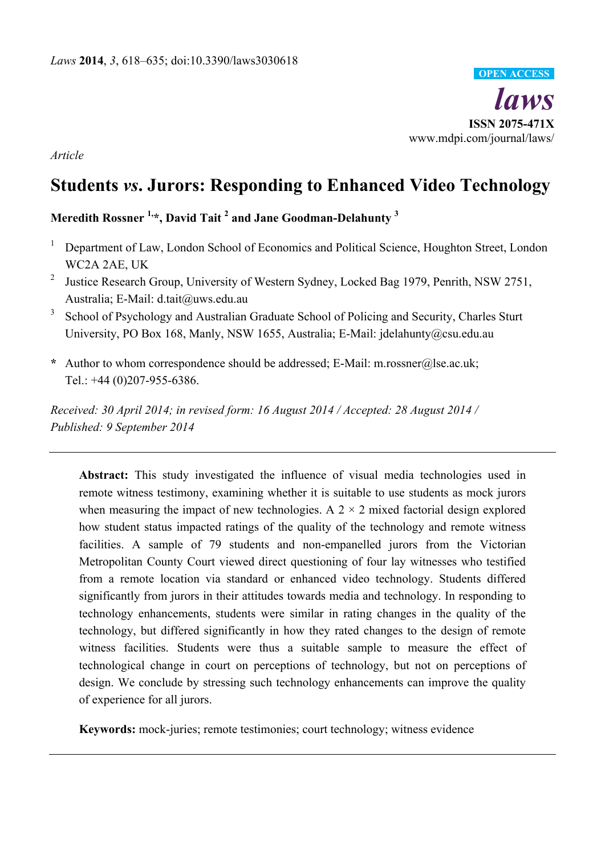

*Article* 

# **Students** *vs***. Jurors: Responding to Enhanced Video Technology**

**Meredith Rossner 1,\*, David Tait 2 and Jane Goodman-Delahunty 3**

- 1 Department of Law, London School of Economics and Political Science, Houghton Street, London WC2A 2AE, UK
- 2 Justice Research Group, University of Western Sydney, Locked Bag 1979, Penrith, NSW 2751, Australia; E-Mail: d.tait@uws.edu.au
- 3 School of Psychology and Australian Graduate School of Policing and Security, Charles Sturt University, PO Box 168, Manly, NSW 1655, Australia; E-Mail: jdelahunty@csu.edu.au
- **\*** Author to whom correspondence should be addressed; E-Mail: m.rossner@lse.ac.uk; Tel.: +44 (0)207-955-6386.

*Received: 30 April 2014; in revised form: 16 August 2014 / Accepted: 28 August 2014 / Published: 9 September 2014* 

**Abstract:** This study investigated the influence of visual media technologies used in remote witness testimony, examining whether it is suitable to use students as mock jurors when measuring the impact of new technologies. A  $2 \times 2$  mixed factorial design explored how student status impacted ratings of the quality of the technology and remote witness facilities. A sample of 79 students and non-empanelled jurors from the Victorian Metropolitan County Court viewed direct questioning of four lay witnesses who testified from a remote location via standard or enhanced video technology. Students differed significantly from jurors in their attitudes towards media and technology. In responding to technology enhancements, students were similar in rating changes in the quality of the technology, but differed significantly in how they rated changes to the design of remote witness facilities. Students were thus a suitable sample to measure the effect of technological change in court on perceptions of technology, but not on perceptions of design. We conclude by stressing such technology enhancements can improve the quality of experience for all jurors.

**Keywords:** mock-juries; remote testimonies; court technology; witness evidence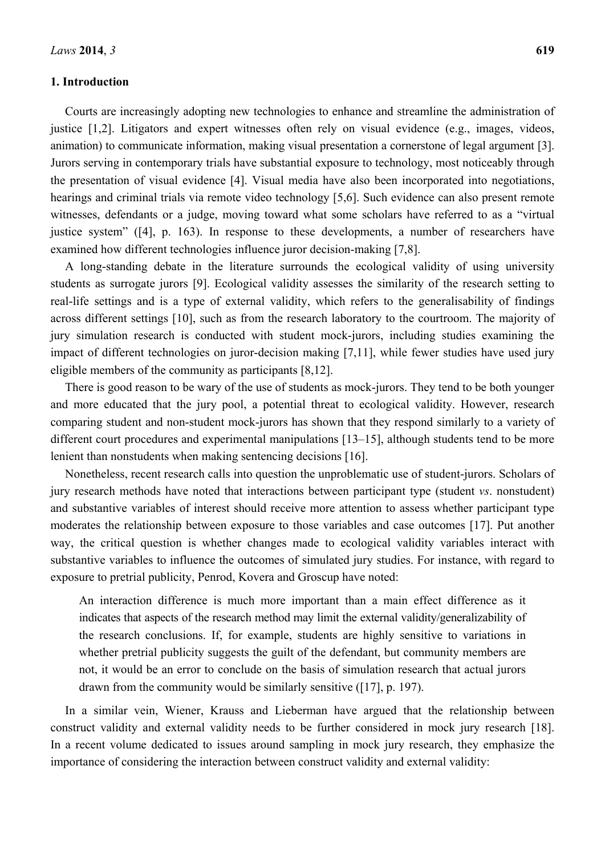## **1. Introduction**

Courts are increasingly adopting new technologies to enhance and streamline the administration of justice [1,2]. Litigators and expert witnesses often rely on visual evidence (e.g., images, videos, animation) to communicate information, making visual presentation a cornerstone of legal argument [3]. Jurors serving in contemporary trials have substantial exposure to technology, most noticeably through the presentation of visual evidence [4]. Visual media have also been incorporated into negotiations, hearings and criminal trials via remote video technology [5,6]. Such evidence can also present remote witnesses, defendants or a judge, moving toward what some scholars have referred to as a "virtual justice system" ([4], p. 163). In response to these developments, a number of researchers have examined how different technologies influence juror decision-making [7,8].

A long-standing debate in the literature surrounds the ecological validity of using university students as surrogate jurors [9]. Ecological validity assesses the similarity of the research setting to real-life settings and is a type of external validity, which refers to the generalisability of findings across different settings [10], such as from the research laboratory to the courtroom. The majority of jury simulation research is conducted with student mock-jurors, including studies examining the impact of different technologies on juror-decision making [7,11], while fewer studies have used jury eligible members of the community as participants [8,12].

There is good reason to be wary of the use of students as mock-jurors. They tend to be both younger and more educated that the jury pool, a potential threat to ecological validity. However, research comparing student and non-student mock-jurors has shown that they respond similarly to a variety of different court procedures and experimental manipulations [13–15], although students tend to be more lenient than nonstudents when making sentencing decisions [16].

Nonetheless, recent research calls into question the unproblematic use of student-jurors. Scholars of jury research methods have noted that interactions between participant type (student *vs*. nonstudent) and substantive variables of interest should receive more attention to assess whether participant type moderates the relationship between exposure to those variables and case outcomes [17]. Put another way, the critical question is whether changes made to ecological validity variables interact with substantive variables to influence the outcomes of simulated jury studies. For instance, with regard to exposure to pretrial publicity, Penrod, Kovera and Groscup have noted:

An interaction difference is much more important than a main effect difference as it indicates that aspects of the research method may limit the external validity/generalizability of the research conclusions. If, for example, students are highly sensitive to variations in whether pretrial publicity suggests the guilt of the defendant, but community members are not, it would be an error to conclude on the basis of simulation research that actual jurors drawn from the community would be similarly sensitive ([17], p. 197).

In a similar vein, Wiener, Krauss and Lieberman have argued that the relationship between construct validity and external validity needs to be further considered in mock jury research [18]. In a recent volume dedicated to issues around sampling in mock jury research, they emphasize the importance of considering the interaction between construct validity and external validity: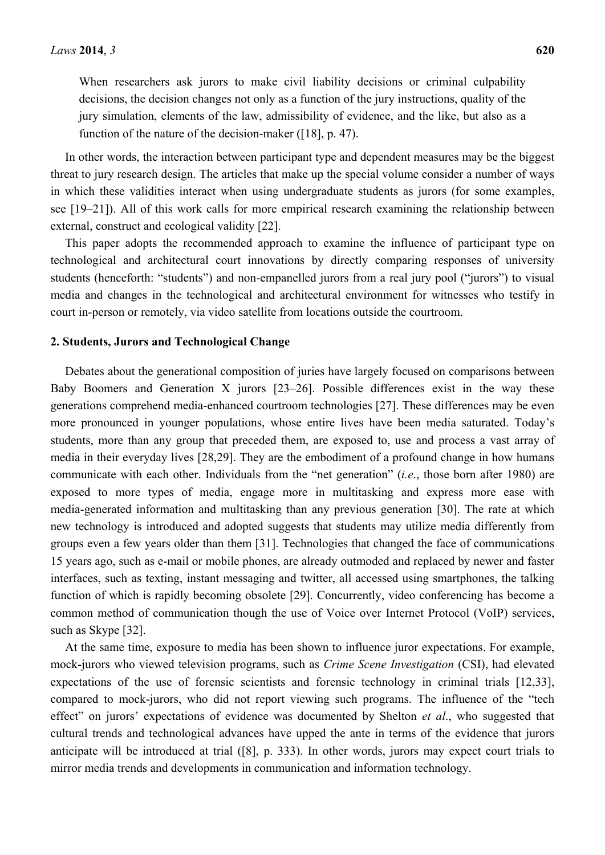When researchers ask jurors to make civil liability decisions or criminal culpability decisions, the decision changes not only as a function of the jury instructions, quality of the jury simulation, elements of the law, admissibility of evidence, and the like, but also as a function of the nature of the decision-maker ([18], p. 47).

In other words, the interaction between participant type and dependent measures may be the biggest threat to jury research design. The articles that make up the special volume consider a number of ways in which these validities interact when using undergraduate students as jurors (for some examples, see [19–21]). All of this work calls for more empirical research examining the relationship between external, construct and ecological validity [22].

This paper adopts the recommended approach to examine the influence of participant type on technological and architectural court innovations by directly comparing responses of university students (henceforth: "students") and non-empanelled jurors from a real jury pool ("jurors") to visual media and changes in the technological and architectural environment for witnesses who testify in court in-person or remotely, via video satellite from locations outside the courtroom.

## **2. Students, Jurors and Technological Change**

Debates about the generational composition of juries have largely focused on comparisons between Baby Boomers and Generation X jurors [23–26]. Possible differences exist in the way these generations comprehend media-enhanced courtroom technologies [27]. These differences may be even more pronounced in younger populations, whose entire lives have been media saturated. Today's students, more than any group that preceded them, are exposed to, use and process a vast array of media in their everyday lives [28,29]. They are the embodiment of a profound change in how humans communicate with each other. Individuals from the "net generation" (*i.e*., those born after 1980) are exposed to more types of media, engage more in multitasking and express more ease with media-generated information and multitasking than any previous generation [30]. The rate at which new technology is introduced and adopted suggests that students may utilize media differently from groups even a few years older than them [31]. Technologies that changed the face of communications 15 years ago, such as e-mail or mobile phones, are already outmoded and replaced by newer and faster interfaces, such as texting, instant messaging and twitter, all accessed using smartphones, the talking function of which is rapidly becoming obsolete [29]. Concurrently, video conferencing has become a common method of communication though the use of Voice over Internet Protocol (VoIP) services, such as Skype [32].

At the same time, exposure to media has been shown to influence juror expectations. For example, mock-jurors who viewed television programs, such as *Crime Scene Investigation* (CSI), had elevated expectations of the use of forensic scientists and forensic technology in criminal trials [12,33], compared to mock-jurors, who did not report viewing such programs. The influence of the "tech effect" on jurors' expectations of evidence was documented by Shelton *et al*., who suggested that cultural trends and technological advances have upped the ante in terms of the evidence that jurors anticipate will be introduced at trial ([8], p. 333). In other words, jurors may expect court trials to mirror media trends and developments in communication and information technology.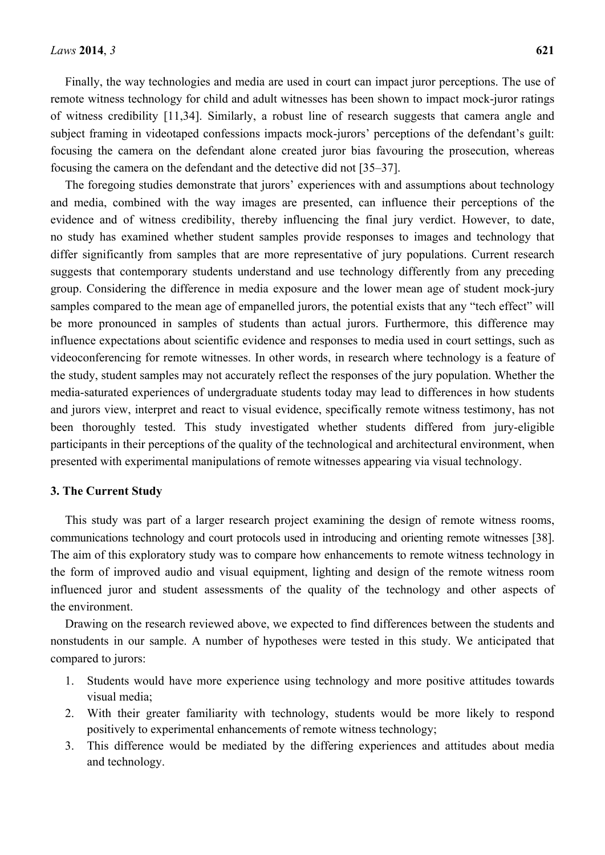Finally, the way technologies and media are used in court can impact juror perceptions. The use of remote witness technology for child and adult witnesses has been shown to impact mock-juror ratings of witness credibility [11,34]. Similarly, a robust line of research suggests that camera angle and subject framing in videotaped confessions impacts mock-jurors' perceptions of the defendant's guilt: focusing the camera on the defendant alone created juror bias favouring the prosecution, whereas focusing the camera on the defendant and the detective did not [35–37].

The foregoing studies demonstrate that jurors' experiences with and assumptions about technology and media, combined with the way images are presented, can influence their perceptions of the evidence and of witness credibility, thereby influencing the final jury verdict. However, to date, no study has examined whether student samples provide responses to images and technology that differ significantly from samples that are more representative of jury populations. Current research suggests that contemporary students understand and use technology differently from any preceding group. Considering the difference in media exposure and the lower mean age of student mock-jury samples compared to the mean age of empanelled jurors, the potential exists that any "tech effect" will be more pronounced in samples of students than actual jurors. Furthermore, this difference may influence expectations about scientific evidence and responses to media used in court settings, such as videoconferencing for remote witnesses. In other words, in research where technology is a feature of the study, student samples may not accurately reflect the responses of the jury population. Whether the media-saturated experiences of undergraduate students today may lead to differences in how students and jurors view, interpret and react to visual evidence, specifically remote witness testimony, has not been thoroughly tested. This study investigated whether students differed from jury-eligible participants in their perceptions of the quality of the technological and architectural environment, when presented with experimental manipulations of remote witnesses appearing via visual technology.

#### **3. The Current Study**

This study was part of a larger research project examining the design of remote witness rooms, communications technology and court protocols used in introducing and orienting remote witnesses [38]. The aim of this exploratory study was to compare how enhancements to remote witness technology in the form of improved audio and visual equipment, lighting and design of the remote witness room influenced juror and student assessments of the quality of the technology and other aspects of the environment.

Drawing on the research reviewed above, we expected to find differences between the students and nonstudents in our sample. A number of hypotheses were tested in this study. We anticipated that compared to jurors:

- 1. Students would have more experience using technology and more positive attitudes towards visual media;
- 2. With their greater familiarity with technology, students would be more likely to respond positively to experimental enhancements of remote witness technology;
- 3. This difference would be mediated by the differing experiences and attitudes about media and technology.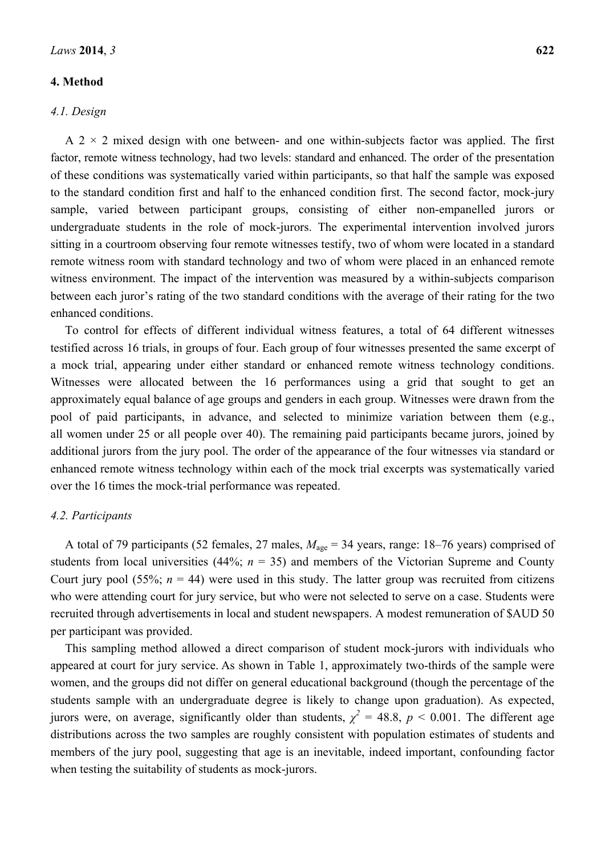#### **4. Method**

#### *4.1. Design*

A  $2 \times 2$  mixed design with one between- and one within-subjects factor was applied. The first factor, remote witness technology, had two levels: standard and enhanced. The order of the presentation of these conditions was systematically varied within participants, so that half the sample was exposed to the standard condition first and half to the enhanced condition first. The second factor, mock-jury sample, varied between participant groups, consisting of either non-empanelled jurors or undergraduate students in the role of mock-jurors. The experimental intervention involved jurors sitting in a courtroom observing four remote witnesses testify, two of whom were located in a standard remote witness room with standard technology and two of whom were placed in an enhanced remote witness environment. The impact of the intervention was measured by a within-subjects comparison between each juror's rating of the two standard conditions with the average of their rating for the two enhanced conditions.

To control for effects of different individual witness features, a total of 64 different witnesses testified across 16 trials, in groups of four. Each group of four witnesses presented the same excerpt of a mock trial, appearing under either standard or enhanced remote witness technology conditions. Witnesses were allocated between the 16 performances using a grid that sought to get an approximately equal balance of age groups and genders in each group. Witnesses were drawn from the pool of paid participants, in advance, and selected to minimize variation between them (e.g., all women under 25 or all people over 40). The remaining paid participants became jurors, joined by additional jurors from the jury pool. The order of the appearance of the four witnesses via standard or enhanced remote witness technology within each of the mock trial excerpts was systematically varied over the 16 times the mock-trial performance was repeated.

## *4.2. Participants*

A total of 79 participants (52 females, 27 males,  $M_{\text{age}} = 34$  years, range: 18–76 years) comprised of students from local universities (44%;  $n = 35$ ) and members of the Victorian Supreme and County Court jury pool (55%;  $n = 44$ ) were used in this study. The latter group was recruited from citizens who were attending court for jury service, but who were not selected to serve on a case. Students were recruited through advertisements in local and student newspapers. A modest remuneration of \$AUD 50 per participant was provided.

This sampling method allowed a direct comparison of student mock-jurors with individuals who appeared at court for jury service. As shown in Table 1, approximately two-thirds of the sample were women, and the groups did not differ on general educational background (though the percentage of the students sample with an undergraduate degree is likely to change upon graduation). As expected, jurors were, on average, significantly older than students,  $\chi^2 = 48.8$ ,  $p < 0.001$ . The different age distributions across the two samples are roughly consistent with population estimates of students and members of the jury pool, suggesting that age is an inevitable, indeed important, confounding factor when testing the suitability of students as mock-jurors.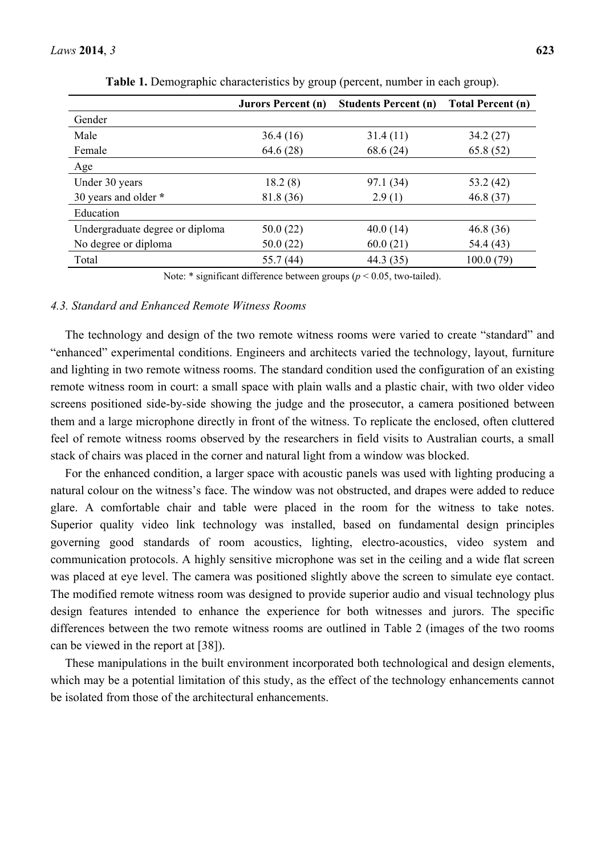|                                 | <b>Jurors Percent (n)</b> | <b>Students Percent (n)</b> | <b>Total Percent (n)</b> |
|---------------------------------|---------------------------|-----------------------------|--------------------------|
| Gender                          |                           |                             |                          |
| Male                            | 36.4(16)                  | 31.4(11)                    | 34.2 (27)                |
| Female                          | 64.6(28)                  | 68.6 (24)                   | 65.8(52)                 |
| Age                             |                           |                             |                          |
| Under 30 years                  | 18.2(8)                   | 97.1 (34)                   | 53.2 (42)                |
| 30 years and older *            | 81.8 (36)                 | 2.9(1)                      | 46.8(37)                 |
| Education                       |                           |                             |                          |
| Undergraduate degree or diploma | 50.0(22)                  | 40.0(14)                    | 46.8(36)                 |
| No degree or diploma            | 50.0(22)                  | 60.0(21)                    | 54.4 (43)                |
| Total                           | 55.7 (44)                 | 44.3 (35)                   | 100.0(79)                |

**Table 1.** Demographic characteristics by group (percent, number in each group).

Note:  $*$  significant difference between groups ( $p < 0.05$ , two-tailed).

## *4.3. Standard and Enhanced Remote Witness Rooms*

The technology and design of the two remote witness rooms were varied to create "standard" and "enhanced" experimental conditions. Engineers and architects varied the technology, layout, furniture and lighting in two remote witness rooms. The standard condition used the configuration of an existing remote witness room in court: a small space with plain walls and a plastic chair, with two older video screens positioned side-by-side showing the judge and the prosecutor, a camera positioned between them and a large microphone directly in front of the witness. To replicate the enclosed, often cluttered feel of remote witness rooms observed by the researchers in field visits to Australian courts, a small stack of chairs was placed in the corner and natural light from a window was blocked.

For the enhanced condition, a larger space with acoustic panels was used with lighting producing a natural colour on the witness's face. The window was not obstructed, and drapes were added to reduce glare. A comfortable chair and table were placed in the room for the witness to take notes. Superior quality video link technology was installed, based on fundamental design principles governing good standards of room acoustics, lighting, electro-acoustics, video system and communication protocols. A highly sensitive microphone was set in the ceiling and a wide flat screen was placed at eye level. The camera was positioned slightly above the screen to simulate eye contact. The modified remote witness room was designed to provide superior audio and visual technology plus design features intended to enhance the experience for both witnesses and jurors. The specific differences between the two remote witness rooms are outlined in Table 2 (images of the two rooms can be viewed in the report at [38]).

These manipulations in the built environment incorporated both technological and design elements, which may be a potential limitation of this study, as the effect of the technology enhancements cannot be isolated from those of the architectural enhancements.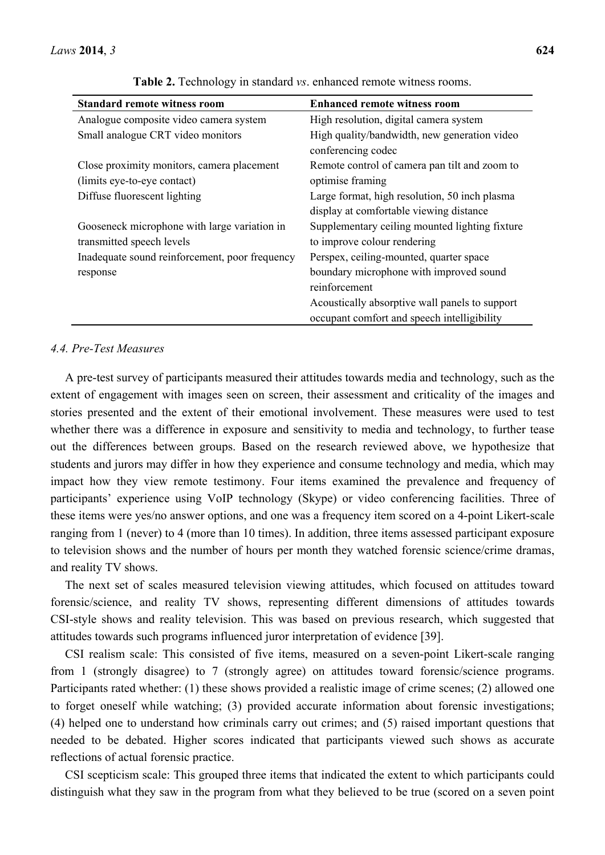| <b>Standard remote witness room</b>                                       | <b>Enhanced remote witness room</b>                                                      |
|---------------------------------------------------------------------------|------------------------------------------------------------------------------------------|
| Analogue composite video camera system                                    | High resolution, digital camera system                                                   |
| Small analogue CRT video monitors                                         | High quality/bandwidth, new generation video<br>conferencing codec                       |
| Close proximity monitors, camera placement<br>(limits eye-to-eye contact) | Remote control of camera pan tilt and zoom to<br>optimise framing                        |
| Diffuse fluorescent lighting                                              | Large format, high resolution, 50 inch plasma<br>display at comfortable viewing distance |
| Gooseneck microphone with large variation in<br>transmitted speech levels | Supplementary ceiling mounted lighting fixture<br>to improve colour rendering            |
| Inadequate sound reinforcement, poor frequency                            | Perspex, ceiling-mounted, quarter space                                                  |
| response                                                                  | boundary microphone with improved sound<br>reinforcement                                 |
|                                                                           | Acoustically absorptive wall panels to support                                           |
|                                                                           | occupant comfort and speech intelligibility                                              |

**Table 2.** Technology in standard *vs*. enhanced remote witness rooms.

## *4.4. Pre-Test Measures*

A pre-test survey of participants measured their attitudes towards media and technology, such as the extent of engagement with images seen on screen, their assessment and criticality of the images and stories presented and the extent of their emotional involvement. These measures were used to test whether there was a difference in exposure and sensitivity to media and technology, to further tease out the differences between groups. Based on the research reviewed above, we hypothesize that students and jurors may differ in how they experience and consume technology and media, which may impact how they view remote testimony. Four items examined the prevalence and frequency of participants' experience using VoIP technology (Skype) or video conferencing facilities. Three of these items were yes/no answer options, and one was a frequency item scored on a 4-point Likert-scale ranging from 1 (never) to 4 (more than 10 times). In addition, three items assessed participant exposure to television shows and the number of hours per month they watched forensic science/crime dramas, and reality TV shows.

The next set of scales measured television viewing attitudes, which focused on attitudes toward forensic/science, and reality TV shows, representing different dimensions of attitudes towards CSI-style shows and reality television. This was based on previous research, which suggested that attitudes towards such programs influenced juror interpretation of evidence [39].

CSI realism scale: This consisted of five items, measured on a seven-point Likert-scale ranging from 1 (strongly disagree) to 7 (strongly agree) on attitudes toward forensic/science programs. Participants rated whether: (1) these shows provided a realistic image of crime scenes; (2) allowed one to forget oneself while watching; (3) provided accurate information about forensic investigations; (4) helped one to understand how criminals carry out crimes; and (5) raised important questions that needed to be debated. Higher scores indicated that participants viewed such shows as accurate reflections of actual forensic practice.

CSI scepticism scale: This grouped three items that indicated the extent to which participants could distinguish what they saw in the program from what they believed to be true (scored on a seven point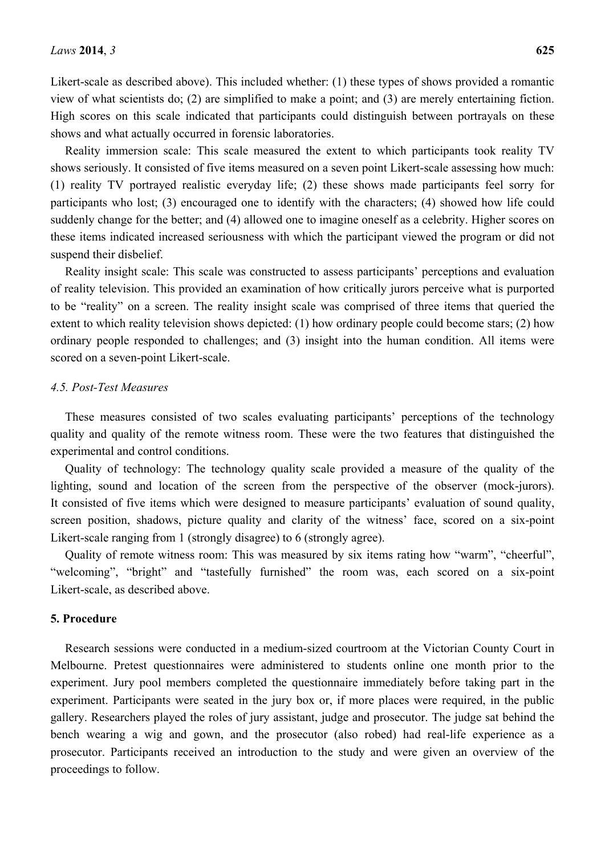Likert-scale as described above). This included whether: (1) these types of shows provided a romantic view of what scientists do; (2) are simplified to make a point; and (3) are merely entertaining fiction. High scores on this scale indicated that participants could distinguish between portrayals on these shows and what actually occurred in forensic laboratories.

Reality immersion scale: This scale measured the extent to which participants took reality TV shows seriously. It consisted of five items measured on a seven point Likert-scale assessing how much: (1) reality TV portrayed realistic everyday life; (2) these shows made participants feel sorry for participants who lost; (3) encouraged one to identify with the characters; (4) showed how life could suddenly change for the better; and (4) allowed one to imagine oneself as a celebrity. Higher scores on these items indicated increased seriousness with which the participant viewed the program or did not suspend their disbelief.

Reality insight scale: This scale was constructed to assess participants' perceptions and evaluation of reality television. This provided an examination of how critically jurors perceive what is purported to be "reality" on a screen. The reality insight scale was comprised of three items that queried the extent to which reality television shows depicted: (1) how ordinary people could become stars; (2) how ordinary people responded to challenges; and (3) insight into the human condition. All items were scored on a seven-point Likert-scale.

#### *4.5. Post-Test Measures*

These measures consisted of two scales evaluating participants' perceptions of the technology quality and quality of the remote witness room. These were the two features that distinguished the experimental and control conditions.

Quality of technology: The technology quality scale provided a measure of the quality of the lighting, sound and location of the screen from the perspective of the observer (mock-jurors). It consisted of five items which were designed to measure participants' evaluation of sound quality, screen position, shadows, picture quality and clarity of the witness' face, scored on a six-point Likert-scale ranging from 1 (strongly disagree) to 6 (strongly agree).

Quality of remote witness room: This was measured by six items rating how "warm", "cheerful", "welcoming", "bright" and "tastefully furnished" the room was, each scored on a six-point Likert-scale, as described above.

#### **5. Procedure**

Research sessions were conducted in a medium-sized courtroom at the Victorian County Court in Melbourne. Pretest questionnaires were administered to students online one month prior to the experiment. Jury pool members completed the questionnaire immediately before taking part in the experiment. Participants were seated in the jury box or, if more places were required, in the public gallery. Researchers played the roles of jury assistant, judge and prosecutor. The judge sat behind the bench wearing a wig and gown, and the prosecutor (also robed) had real-life experience as a prosecutor. Participants received an introduction to the study and were given an overview of the proceedings to follow.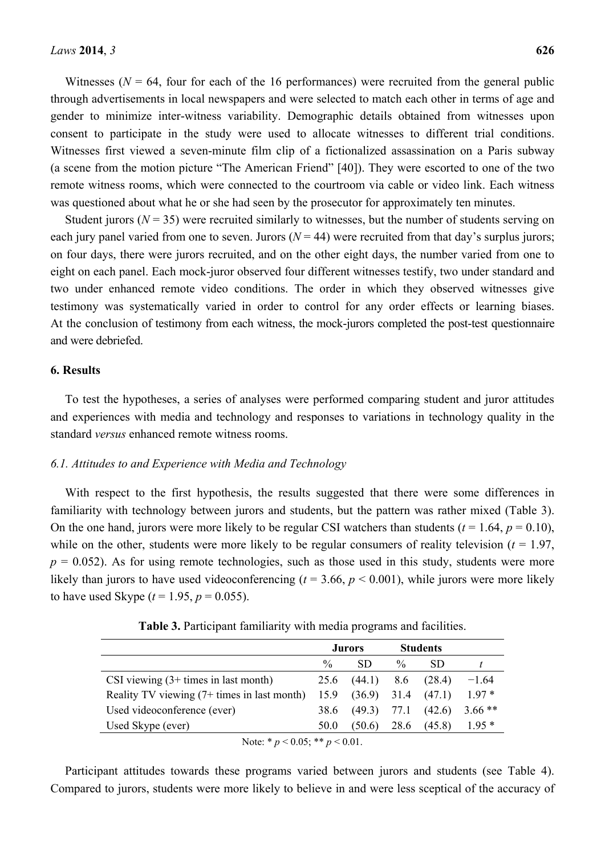gender to minimize inter-witness variability. Demographic details obtained from witnesses upon consent to participate in the study were used to allocate witnesses to different trial conditions. Witnesses first viewed a seven-minute film clip of a fictionalized assassination on a Paris subway (a scene from the motion picture "The American Friend" [40]). They were escorted to one of the two remote witness rooms, which were connected to the courtroom via cable or video link. Each witness was questioned about what he or she had seen by the prosecutor for approximately ten minutes.

Student jurors ( $N = 35$ ) were recruited similarly to witnesses, but the number of students serving on each jury panel varied from one to seven. Jurors  $(N = 44)$  were recruited from that day's surplus jurors; on four days, there were jurors recruited, and on the other eight days, the number varied from one to eight on each panel. Each mock-juror observed four different witnesses testify, two under standard and two under enhanced remote video conditions. The order in which they observed witnesses give testimony was systematically varied in order to control for any order effects or learning biases. At the conclusion of testimony from each witness, the mock-jurors completed the post-test questionnaire and were debriefed.

#### **6. Results**

To test the hypotheses, a series of analyses were performed comparing student and juror attitudes and experiences with media and technology and responses to variations in technology quality in the standard *versus* enhanced remote witness rooms.

## *6.1. Attitudes to and Experience with Media and Technology*

With respect to the first hypothesis, the results suggested that there were some differences in familiarity with technology between jurors and students, but the pattern was rather mixed (Table 3). On the one hand, jurors were more likely to be regular CSI watchers than students  $(t = 1.64, p = 0.10)$ , while on the other, students were more likely to be regular consumers of reality television  $(t = 1.97,$  $p = 0.052$ ). As for using remote technologies, such as those used in this study, students were more likely than jurors to have used videoconferencing ( $t = 3.66$ ,  $p < 0.001$ ), while jurors were more likely to have used Skype ( $t = 1.95$ ,  $p = 0.055$ ).

|                                             |               | Jurors        |               | <b>Students</b>        |          |
|---------------------------------------------|---------------|---------------|---------------|------------------------|----------|
|                                             | $\frac{0}{0}$ | SD            | $\frac{0}{0}$ | SD.                    |          |
| CSI viewing $(3+$ times in last month)      | 25.6          | $(44.1)$ 8.6  |               | (28.4)                 | $-1.64$  |
| Reality TV viewing (7+ times in last month) | 15.9          |               |               | $(36.9)$ 31.4 $(47.1)$ | $197*$   |
| Used videoconference (ever)                 | 38.6          | $(49.3)$ 77.1 |               | (42.6)                 | $3.66**$ |
| Used Skype (ever)                           | 50.0          | (50.6)        | 28.6          | (45.8)                 | $195*$   |

**Table 3.** Participant familiarity with media programs and facilities.

Note: \*  $p < 0.05$ ; \*\*  $p < 0.01$ .

Participant attitudes towards these programs varied between jurors and students (see Table 4). Compared to jurors, students were more likely to believe in and were less sceptical of the accuracy of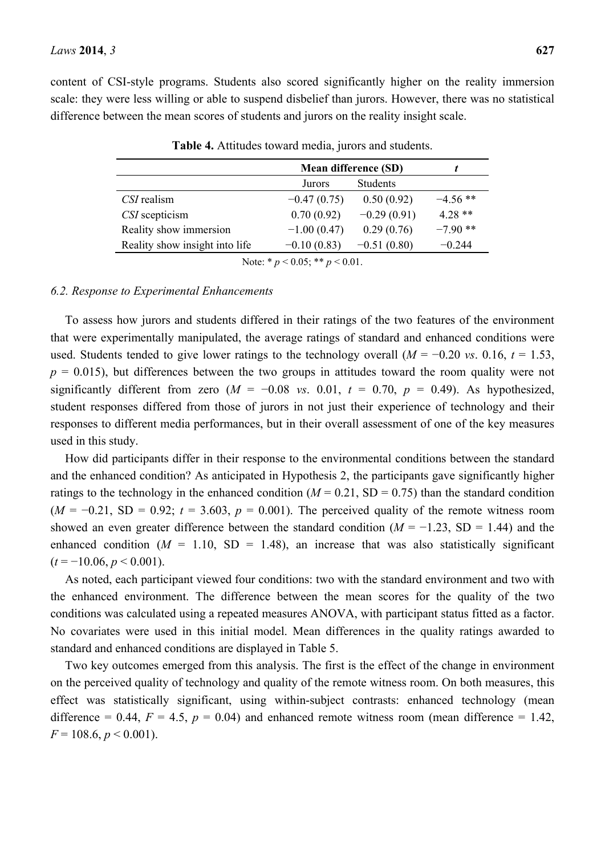content of CSI-style programs. Students also scored significantly higher on the reality immersion scale: they were less willing or able to suspend disbelief than jurors. However, there was no statistical difference between the mean scores of students and jurors on the reality insight scale.

|                                | Mean difference (SD)                                            |               |            |
|--------------------------------|-----------------------------------------------------------------|---------------|------------|
|                                | Jurors                                                          | Students      |            |
| CSI realism                    | $-0.47(0.75)$                                                   | 0.50(0.92)    | $-4.56$ ** |
| CSI scepticism                 | 0.70(0.92)                                                      | $-0.29(0.91)$ | $4.28**$   |
| Reality show immersion         | $-1.00(0.47)$                                                   | 0.29(0.76)    | $-7.90$ ** |
| Reality show insight into life | $-0.10(0.83)$                                                   | $-0.51(0.80)$ | $-0.244$   |
|                                | $\mathbf{v}$ and $\mathbf{v}$ and $\mathbf{v}$ and $\mathbf{v}$ |               |            |

**Table 4.** Attitudes toward media, jurors and students.

Note: \* *p* < 0.05; \*\* *p* < 0.01.

#### *6.2. Response to Experimental Enhancements*

To assess how jurors and students differed in their ratings of the two features of the environment that were experimentally manipulated, the average ratings of standard and enhanced conditions were used. Students tended to give lower ratings to the technology overall  $(M = -0.20 \text{ vs. } 0.16, t = 1.53)$ ,  $p = 0.015$ ), but differences between the two groups in attitudes toward the room quality were not significantly different from zero  $(M = -0.08$  *vs.* 0.01,  $t = 0.70$ ,  $p = 0.49$ ). As hypothesized, student responses differed from those of jurors in not just their experience of technology and their responses to different media performances, but in their overall assessment of one of the key measures used in this study.

How did participants differ in their response to the environmental conditions between the standard and the enhanced condition? As anticipated in Hypothesis 2, the participants gave significantly higher ratings to the technology in the enhanced condition ( $M = 0.21$ , SD = 0.75) than the standard condition  $(M = -0.21, SD = 0.92; t = 3.603, p = 0.001)$ . The perceived quality of the remote witness room showed an even greater difference between the standard condition (*M* = −1.23, SD = 1.44) and the enhanced condition  $(M = 1.10, SD = 1.48)$ , an increase that was also statistically significant  $(t = -10.06, p \le 0.001)$ .

As noted, each participant viewed four conditions: two with the standard environment and two with the enhanced environment. The difference between the mean scores for the quality of the two conditions was calculated using a repeated measures ANOVA, with participant status fitted as a factor. No covariates were used in this initial model. Mean differences in the quality ratings awarded to standard and enhanced conditions are displayed in Table 5.

Two key outcomes emerged from this analysis. The first is the effect of the change in environment on the perceived quality of technology and quality of the remote witness room. On both measures, this effect was statistically significant, using within-subject contrasts: enhanced technology (mean difference = 0.44,  $F = 4.5$ ,  $p = 0.04$ ) and enhanced remote witness room (mean difference = 1.42,  $F = 108.6, p < 0.001$ ).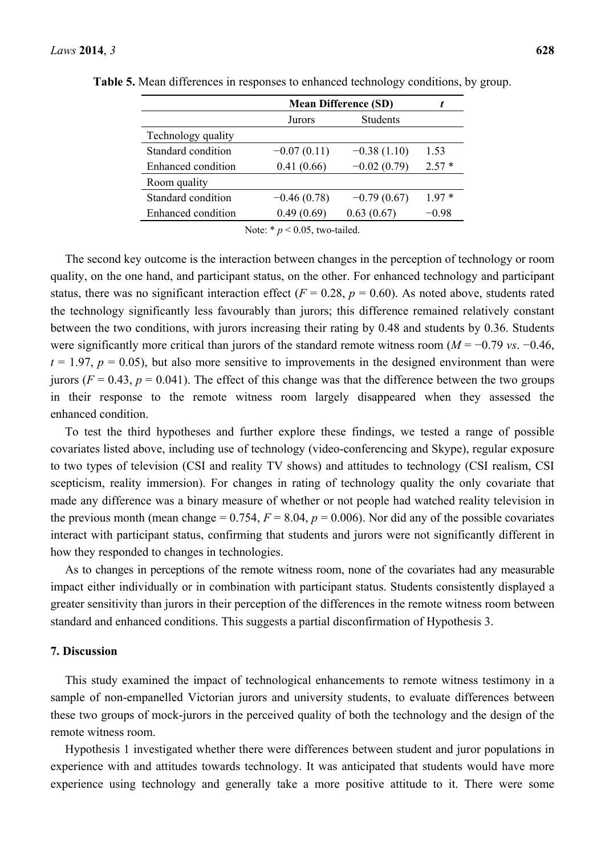|                    | <b>Mean Difference (SD)</b> |                 |         |
|--------------------|-----------------------------|-----------------|---------|
|                    | Jurors                      | <b>Students</b> |         |
| Technology quality |                             |                 |         |
| Standard condition | $-0.07(0.11)$               | $-0.38(1.10)$   | 1.53    |
| Enhanced condition | 0.41(0.66)                  | $-0.02(0.79)$   | $2.57*$ |
| Room quality       |                             |                 |         |
| Standard condition | $-0.46(0.78)$               | $-0.79(0.67)$   | 197*    |
| Enhanced condition | 0.49(0.69)                  | 0.63(0.67)      | –0 98   |
|                    |                             |                 |         |

**Table 5.** Mean differences in responses to enhanced technology conditions, by group.

Note: \* *p* < 0.05, two-tailed.

The second key outcome is the interaction between changes in the perception of technology or room quality, on the one hand, and participant status, on the other. For enhanced technology and participant status, there was no significant interaction effect ( $F = 0.28$ ,  $p = 0.60$ ). As noted above, students rated the technology significantly less favourably than jurors; this difference remained relatively constant between the two conditions, with jurors increasing their rating by 0.48 and students by 0.36. Students were significantly more critical than jurors of the standard remote witness room (*M* = −0.79 *vs*. −0.46,  $t = 1.97$ ,  $p = 0.05$ ), but also more sensitive to improvements in the designed environment than were jurors ( $F = 0.43$ ,  $p = 0.041$ ). The effect of this change was that the difference between the two groups in their response to the remote witness room largely disappeared when they assessed the enhanced condition.

To test the third hypotheses and further explore these findings, we tested a range of possible covariates listed above, including use of technology (video-conferencing and Skype), regular exposure to two types of television (CSI and reality TV shows) and attitudes to technology (CSI realism, CSI scepticism, reality immersion). For changes in rating of technology quality the only covariate that made any difference was a binary measure of whether or not people had watched reality television in the previous month (mean change =  $0.754$ ,  $F = 8.04$ ,  $p = 0.006$ ). Nor did any of the possible covariates interact with participant status, confirming that students and jurors were not significantly different in how they responded to changes in technologies.

As to changes in perceptions of the remote witness room, none of the covariates had any measurable impact either individually or in combination with participant status. Students consistently displayed a greater sensitivity than jurors in their perception of the differences in the remote witness room between standard and enhanced conditions. This suggests a partial disconfirmation of Hypothesis 3.

## **7. Discussion**

This study examined the impact of technological enhancements to remote witness testimony in a sample of non-empanelled Victorian jurors and university students, to evaluate differences between these two groups of mock-jurors in the perceived quality of both the technology and the design of the remote witness room.

Hypothesis 1 investigated whether there were differences between student and juror populations in experience with and attitudes towards technology. It was anticipated that students would have more experience using technology and generally take a more positive attitude to it. There were some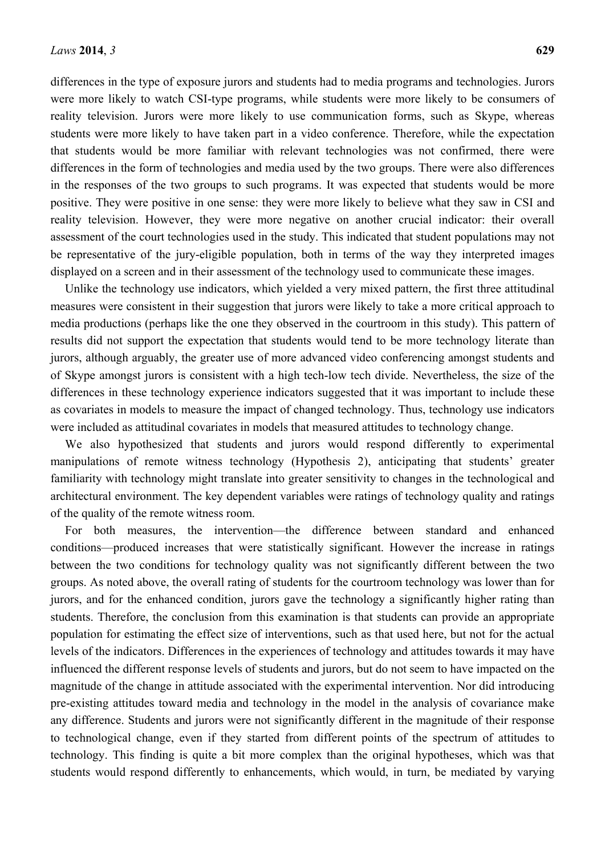differences in the type of exposure jurors and students had to media programs and technologies. Jurors were more likely to watch CSI-type programs, while students were more likely to be consumers of reality television. Jurors were more likely to use communication forms, such as Skype, whereas students were more likely to have taken part in a video conference. Therefore, while the expectation that students would be more familiar with relevant technologies was not confirmed, there were differences in the form of technologies and media used by the two groups. There were also differences in the responses of the two groups to such programs. It was expected that students would be more positive. They were positive in one sense: they were more likely to believe what they saw in CSI and reality television. However, they were more negative on another crucial indicator: their overall assessment of the court technologies used in the study. This indicated that student populations may not be representative of the jury-eligible population, both in terms of the way they interpreted images displayed on a screen and in their assessment of the technology used to communicate these images.

Unlike the technology use indicators, which yielded a very mixed pattern, the first three attitudinal measures were consistent in their suggestion that jurors were likely to take a more critical approach to media productions (perhaps like the one they observed in the courtroom in this study). This pattern of results did not support the expectation that students would tend to be more technology literate than jurors, although arguably, the greater use of more advanced video conferencing amongst students and of Skype amongst jurors is consistent with a high tech-low tech divide. Nevertheless, the size of the differences in these technology experience indicators suggested that it was important to include these as covariates in models to measure the impact of changed technology. Thus, technology use indicators were included as attitudinal covariates in models that measured attitudes to technology change.

We also hypothesized that students and jurors would respond differently to experimental manipulations of remote witness technology (Hypothesis 2), anticipating that students' greater familiarity with technology might translate into greater sensitivity to changes in the technological and architectural environment. The key dependent variables were ratings of technology quality and ratings of the quality of the remote witness room.

For both measures, the intervention—the difference between standard and enhanced conditions—produced increases that were statistically significant. However the increase in ratings between the two conditions for technology quality was not significantly different between the two groups. As noted above, the overall rating of students for the courtroom technology was lower than for jurors, and for the enhanced condition, jurors gave the technology a significantly higher rating than students. Therefore, the conclusion from this examination is that students can provide an appropriate population for estimating the effect size of interventions, such as that used here, but not for the actual levels of the indicators. Differences in the experiences of technology and attitudes towards it may have influenced the different response levels of students and jurors, but do not seem to have impacted on the magnitude of the change in attitude associated with the experimental intervention. Nor did introducing pre-existing attitudes toward media and technology in the model in the analysis of covariance make any difference. Students and jurors were not significantly different in the magnitude of their response to technological change, even if they started from different points of the spectrum of attitudes to technology. This finding is quite a bit more complex than the original hypotheses, which was that students would respond differently to enhancements, which would, in turn, be mediated by varying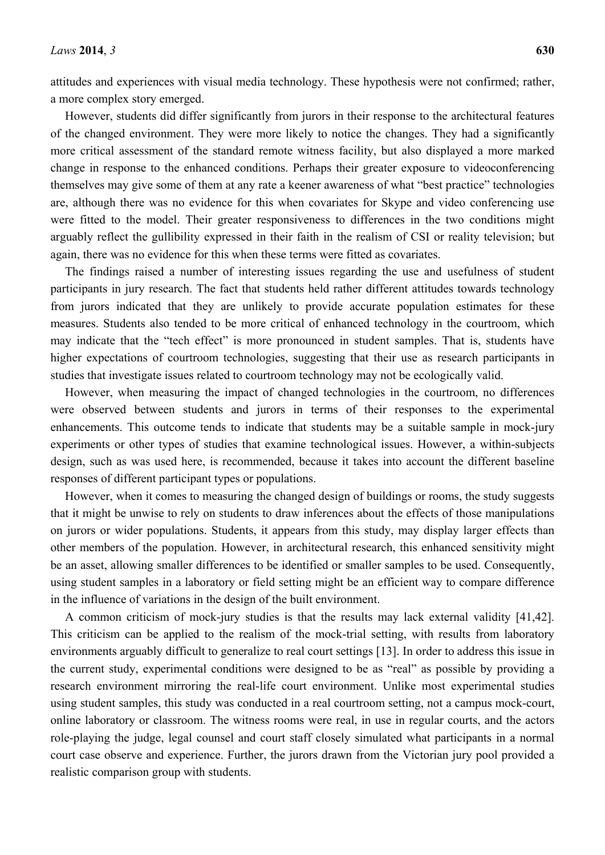attitudes and experiences with visual media technology. These hypothesis were not confirmed; rather, a more complex story emerged.

However, students did differ significantly from jurors in their response to the architectural features of the changed environment. They were more likely to notice the changes. They had a significantly more critical assessment of the standard remote witness facility, but also displayed a more marked change in response to the enhanced conditions. Perhaps their greater exposure to videoconferencing themselves may give some of them at any rate a keener awareness of what "best practice" technologies are, although there was no evidence for this when covariates for Skype and video conferencing use were fitted to the model. Their greater responsiveness to differences in the two conditions might arguably reflect the gullibility expressed in their faith in the realism of CSI or reality television; but again, there was no evidence for this when these terms were fitted as covariates.

The findings raised a number of interesting issues regarding the use and usefulness of student participants in jury research. The fact that students held rather different attitudes towards technology from jurors indicated that they are unlikely to provide accurate population estimates for these measures. Students also tended to be more critical of enhanced technology in the courtroom, which may indicate that the "tech effect" is more pronounced in student samples. That is, students have higher expectations of courtroom technologies, suggesting that their use as research participants in studies that investigate issues related to courtroom technology may not be ecologically valid.

However, when measuring the impact of changed technologies in the courtroom, no differences were observed between students and jurors in terms of their responses to the experimental enhancements. This outcome tends to indicate that students may be a suitable sample in mock-jury experiments or other types of studies that examine technological issues. However, a within-subjects design, such as was used here, is recommended, because it takes into account the different baseline responses of different participant types or populations.

However, when it comes to measuring the changed design of buildings or rooms, the study suggests that it might be unwise to rely on students to draw inferences about the effects of those manipulations on jurors or wider populations. Students, it appears from this study, may display larger effects than other members of the population. However, in architectural research, this enhanced sensitivity might be an asset, allowing smaller differences to be identified or smaller samples to be used. Consequently, using student samples in a laboratory or field setting might be an efficient way to compare difference in the influence of variations in the design of the built environment.

A common criticism of mock-jury studies is that the results may lack external validity [41,42]. This criticism can be applied to the realism of the mock-trial setting, with results from laboratory environments arguably difficult to generalize to real court settings [13]. In order to address this issue in the current study, experimental conditions were designed to be as "real" as possible by providing a research environment mirroring the real-life court environment. Unlike most experimental studies using student samples, this study was conducted in a real courtroom setting, not a campus mock-court, online laboratory or classroom. The witness rooms were real, in use in regular courts, and the actors role-playing the judge, legal counsel and court staff closely simulated what participants in a normal court case observe and experience. Further, the jurors drawn from the Victorian jury pool provided a realistic comparison group with students.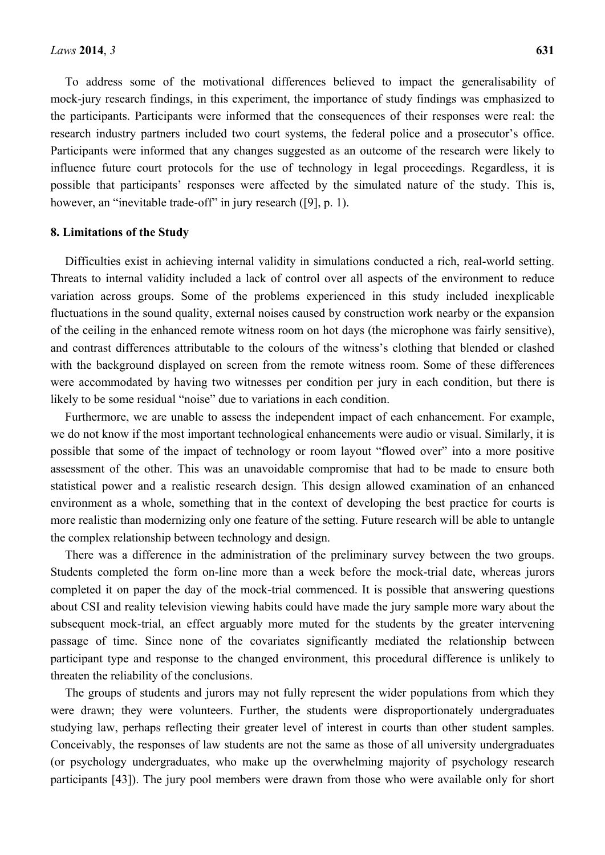To address some of the motivational differences believed to impact the generalisability of mock-jury research findings, in this experiment, the importance of study findings was emphasized to the participants. Participants were informed that the consequences of their responses were real: the research industry partners included two court systems, the federal police and a prosecutor's office. Participants were informed that any changes suggested as an outcome of the research were likely to influence future court protocols for the use of technology in legal proceedings. Regardless, it is possible that participants' responses were affected by the simulated nature of the study. This is, however, an "inevitable trade-off" in jury research ([9], p. 1).

#### **8. Limitations of the Study**

Difficulties exist in achieving internal validity in simulations conducted a rich, real-world setting. Threats to internal validity included a lack of control over all aspects of the environment to reduce variation across groups. Some of the problems experienced in this study included inexplicable fluctuations in the sound quality, external noises caused by construction work nearby or the expansion of the ceiling in the enhanced remote witness room on hot days (the microphone was fairly sensitive), and contrast differences attributable to the colours of the witness's clothing that blended or clashed with the background displayed on screen from the remote witness room. Some of these differences were accommodated by having two witnesses per condition per jury in each condition, but there is likely to be some residual "noise" due to variations in each condition.

Furthermore, we are unable to assess the independent impact of each enhancement. For example, we do not know if the most important technological enhancements were audio or visual. Similarly, it is possible that some of the impact of technology or room layout "flowed over" into a more positive assessment of the other. This was an unavoidable compromise that had to be made to ensure both statistical power and a realistic research design. This design allowed examination of an enhanced environment as a whole, something that in the context of developing the best practice for courts is more realistic than modernizing only one feature of the setting. Future research will be able to untangle the complex relationship between technology and design.

There was a difference in the administration of the preliminary survey between the two groups. Students completed the form on-line more than a week before the mock-trial date, whereas jurors completed it on paper the day of the mock-trial commenced. It is possible that answering questions about CSI and reality television viewing habits could have made the jury sample more wary about the subsequent mock-trial, an effect arguably more muted for the students by the greater intervening passage of time. Since none of the covariates significantly mediated the relationship between participant type and response to the changed environment, this procedural difference is unlikely to threaten the reliability of the conclusions.

The groups of students and jurors may not fully represent the wider populations from which they were drawn; they were volunteers. Further, the students were disproportionately undergraduates studying law, perhaps reflecting their greater level of interest in courts than other student samples. Conceivably, the responses of law students are not the same as those of all university undergraduates (or psychology undergraduates, who make up the overwhelming majority of psychology research participants [43]). The jury pool members were drawn from those who were available only for short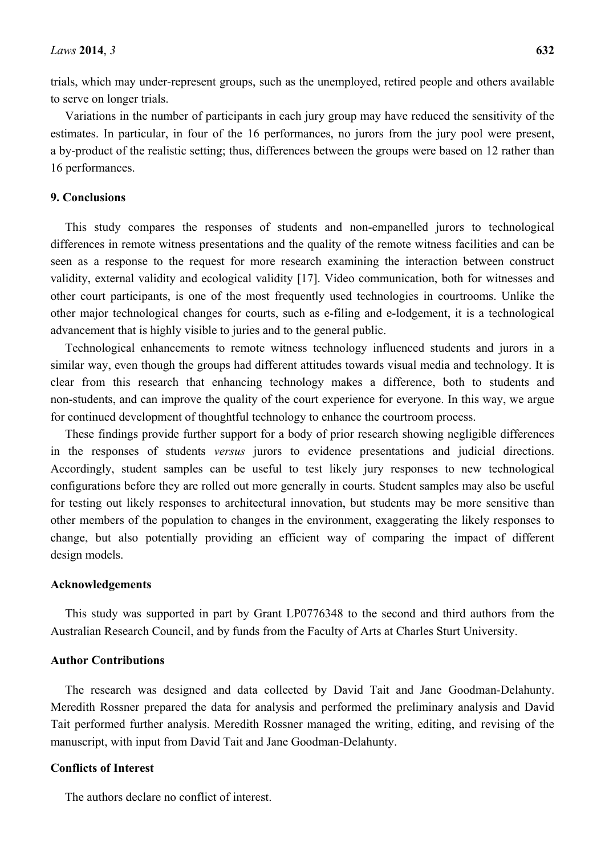trials, which may under-represent groups, such as the unemployed, retired people and others available to serve on longer trials.

Variations in the number of participants in each jury group may have reduced the sensitivity of the estimates. In particular, in four of the 16 performances, no jurors from the jury pool were present, a by-product of the realistic setting; thus, differences between the groups were based on 12 rather than 16 performances.

## **9. Conclusions**

This study compares the responses of students and non-empanelled jurors to technological differences in remote witness presentations and the quality of the remote witness facilities and can be seen as a response to the request for more research examining the interaction between construct validity, external validity and ecological validity [17]. Video communication, both for witnesses and other court participants, is one of the most frequently used technologies in courtrooms. Unlike the other major technological changes for courts, such as e-filing and e-lodgement, it is a technological advancement that is highly visible to juries and to the general public.

Technological enhancements to remote witness technology influenced students and jurors in a similar way, even though the groups had different attitudes towards visual media and technology. It is clear from this research that enhancing technology makes a difference, both to students and non-students, and can improve the quality of the court experience for everyone. In this way, we argue for continued development of thoughtful technology to enhance the courtroom process.

These findings provide further support for a body of prior research showing negligible differences in the responses of students *versus* jurors to evidence presentations and judicial directions. Accordingly, student samples can be useful to test likely jury responses to new technological configurations before they are rolled out more generally in courts. Student samples may also be useful for testing out likely responses to architectural innovation, but students may be more sensitive than other members of the population to changes in the environment, exaggerating the likely responses to change, but also potentially providing an efficient way of comparing the impact of different design models.

#### **Acknowledgements**

This study was supported in part by Grant LP0776348 to the second and third authors from the Australian Research Council, and by funds from the Faculty of Arts at Charles Sturt University.

#### **Author Contributions**

The research was designed and data collected by David Tait and Jane Goodman-Delahunty. Meredith Rossner prepared the data for analysis and performed the preliminary analysis and David Tait performed further analysis. Meredith Rossner managed the writing, editing, and revising of the manuscript, with input from David Tait and Jane Goodman-Delahunty.

## **Conflicts of Interest**

The authors declare no conflict of interest.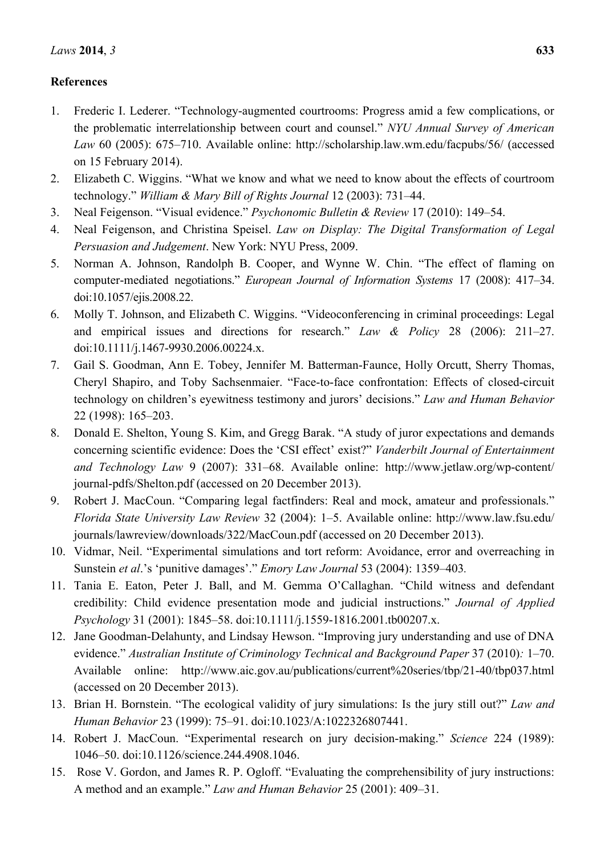## **References**

- 1. Frederic I. Lederer. "Technology-augmented courtrooms: Progress amid a few complications, or the problematic interrelationship between court and counsel." *NYU Annual Survey of American Law* 60 (2005): 675–710. Available online: http://scholarship.law.wm.edu/facpubs/56/ (accessed on 15 February 2014).
- 2. Elizabeth C. Wiggins. "What we know and what we need to know about the effects of courtroom technology." *William & Mary Bill of Rights Journal* 12 (2003): 731–44.
- 3. Neal Feigenson. "Visual evidence." *Psychonomic Bulletin & Review* 17 (2010): 149–54.
- 4. Neal Feigenson, and Christina Speisel. *Law on Display: The Digital Transformation of Legal Persuasion and Judgement*. New York: NYU Press, 2009.
- 5. Norman A. Johnson, Randolph B. Cooper, and Wynne W. Chin. "The effect of flaming on computer-mediated negotiations." *European Journal of Information Systems* 17 (2008): 417–34. doi:10.1057/ejis.2008.22.
- 6. Molly T. Johnson, and Elizabeth C. Wiggins. "Videoconferencing in criminal proceedings: Legal and empirical issues and directions for research." *Law & Policy* 28 (2006): 211–27. doi:10.1111/j.1467-9930.2006.00224.x.
- 7. Gail S. Goodman, Ann E. Tobey, Jennifer M. Batterman-Faunce, Holly Orcutt, Sherry Thomas, Cheryl Shapiro, and Toby Sachsenmaier. "Face-to-face confrontation: Effects of closed-circuit technology on children's eyewitness testimony and jurors' decisions." *Law and Human Behavior*  22 (1998): 165–203.
- 8. Donald E. Shelton, Young S. Kim, and Gregg Barak. "A study of juror expectations and demands concerning scientific evidence: Does the 'CSI effect' exist?" *Vanderbilt Journal of Entertainment and Technology Law* 9 (2007): 331–68. Available online: http://www.jetlaw.org/wp-content/ journal-pdfs/Shelton.pdf (accessed on 20 December 2013).
- 9. Robert J. MacCoun. "Comparing legal factfinders: Real and mock, amateur and professionals." *Florida State University Law Review* 32 (2004): 1–5. Available online: http://www.law.fsu.edu/ journals/lawreview/downloads/322/MacCoun.pdf (accessed on 20 December 2013).
- 10. Vidmar, Neil. "Experimental simulations and tort reform: Avoidance, error and overreaching in Sunstein *et al*.'s 'punitive damages'." *Emory Law Journal* 53 (2004): 1359–403*.*
- 11. Tania E. Eaton, Peter J. Ball, and M. Gemma O'Callaghan. "Child witness and defendant credibility: Child evidence presentation mode and judicial instructions." *Journal of Applied Psychology* 31 (2001): 1845–58. doi:10.1111/j.1559-1816.2001.tb00207.x.
- 12. Jane Goodman-Delahunty, and Lindsay Hewson. "Improving jury understanding and use of DNA evidence." *Australian Institute of Criminology Technical and Background Paper* 37 (2010)*:* 1–70. Available online: http://www.aic.gov.au/publications/current%20series/tbp/21-40/tbp037.html (accessed on 20 December 2013).
- 13. Brian H. Bornstein. "The ecological validity of jury simulations: Is the jury still out?" *Law and Human Behavior* 23 (1999): 75–91. doi:10.1023/A:1022326807441.
- 14. Robert J. MacCoun. "Experimental research on jury decision-making." *Science* 224 (1989): 1046–50. doi:10.1126/science.244.4908.1046.
- 15. Rose V. Gordon, and James R. P. Ogloff. "Evaluating the comprehensibility of jury instructions: A method and an example." *Law and Human Behavior* 25 (2001): 409–31.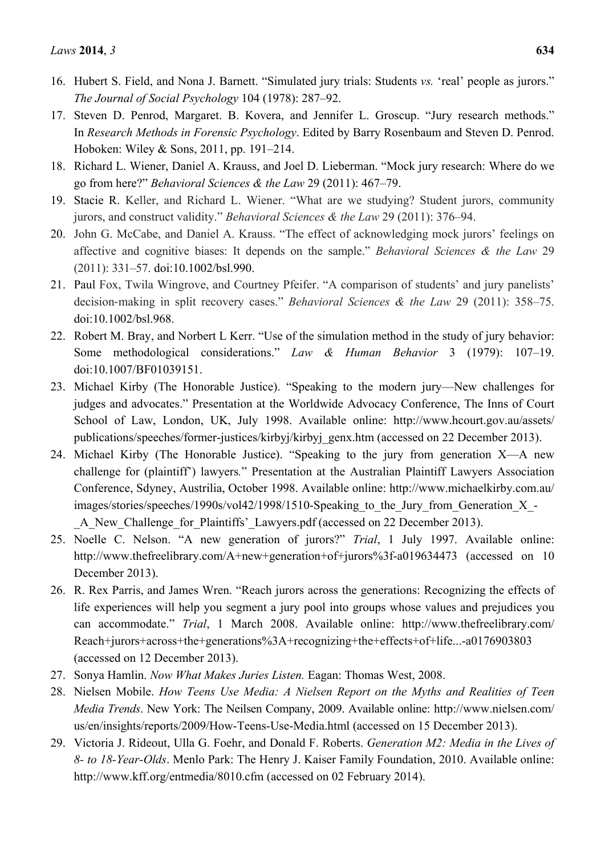- 16. Hubert S. Field, and Nona J. Barnett. "Simulated jury trials: Students *vs.* 'real' people as jurors." *The Journal of Social Psychology* 104 (1978): 287–92.
- 17. Steven D. Penrod, Margaret. B. Kovera, and Jennifer L. Groscup. "Jury research methods." In *Research Methods in Forensic Psychology*. Edited by Barry Rosenbaum and Steven D. Penrod. Hoboken: Wiley & Sons, 2011, pp. 191–214.
- 18. Richard L. Wiener, Daniel A. Krauss, and Joel D. Lieberman. "Mock jury research: Where do we go from here?" *Behavioral Sciences & the Law* 29 (2011): 467–79.
- 19. Stacie R. Keller, and Richard L. Wiener. "What are we studying? Student jurors, community jurors, and construct validity." *Behavioral Sciences & the Law* 29 (2011): 376–94.
- 20. John G. McCabe, and Daniel A. Krauss. "The effect of acknowledging mock jurors' feelings on affective and cognitive biases: It depends on the sample." *Behavioral Sciences & the Law* 29 (2011): 331–57. doi:10.1002/bsl.990.
- 21. Paul Fox, Twila Wingrove, and Courtney Pfeifer. "A comparison of students' and jury panelists' decision‐making in split recovery cases." *Behavioral Sciences & the Law* 29 (2011): 358–75. doi:10.1002/bsl.968.
- 22. Robert M. Bray, and Norbert L Kerr. "Use of the simulation method in the study of jury behavior: Some methodological considerations." *Law & Human Behavior* 3 (1979): 107–19. doi:10.1007/BF01039151.
- 23. Michael Kirby (The Honorable Justice). "Speaking to the modern jury—New challenges for judges and advocates." Presentation at the Worldwide Advocacy Conference, The Inns of Court School of Law, London, UK, July 1998. Available online: http://www.hcourt.gov.au/assets/ publications/speeches/former-justices/kirbyj/kirbyj\_genx.htm (accessed on 22 December 2013).
- 24. Michael Kirby (The Honorable Justice). "Speaking to the jury from generation X—A new challenge for (plaintiff') lawyers*.*" Presentation at the Australian Plaintiff Lawyers Association Conference, Sdyney, Austrilia, October 1998. Available online: http://www.michaelkirby.com.au/ images/stories/speeches/1990s/vol42/1998/1510-Speaking to the Jury from Generation X -A New Challenge for Plaintiffs' Lawyers.pdf (accessed on 22 December 2013).
- 25. Noelle C. Nelson. "A new generation of jurors?" *Trial*, 1 July 1997. Available online: http://www.thefreelibrary.com/A+new+generation+of+jurors%3f-a019634473 (accessed on 10 December 2013).
- 26. R. Rex Parris, and James Wren. "Reach jurors across the generations: Recognizing the effects of life experiences will help you segment a jury pool into groups whose values and prejudices you can accommodate." *Trial*, 1 March 2008. Available online: http://www.thefreelibrary.com/ Reach+jurors+across+the+generations%3A+recognizing+the+effects+of+life...-a0176903803 (accessed on 12 December 2013).
- 27. Sonya Hamlin. *Now What Makes Juries Listen.* Eagan: Thomas West, 2008.
- 28. Nielsen Mobile. *How Teens Use Media: A Nielsen Report on the Myths and Realities of Teen Media Trends*. New York: The Neilsen Company, 2009. Available online: http://www.nielsen.com/ us/en/insights/reports/2009/How-Teens-Use-Media.html (accessed on 15 December 2013).
- 29. Victoria J. Rideout, Ulla G. Foehr, and Donald F. Roberts. *Generation M2: Media in the Lives of 8- to 18-Year-Olds*. Menlo Park: The Henry J. Kaiser Family Foundation, 2010. Available online: http://www.kff.org/entmedia/8010.cfm (accessed on 02 February 2014).